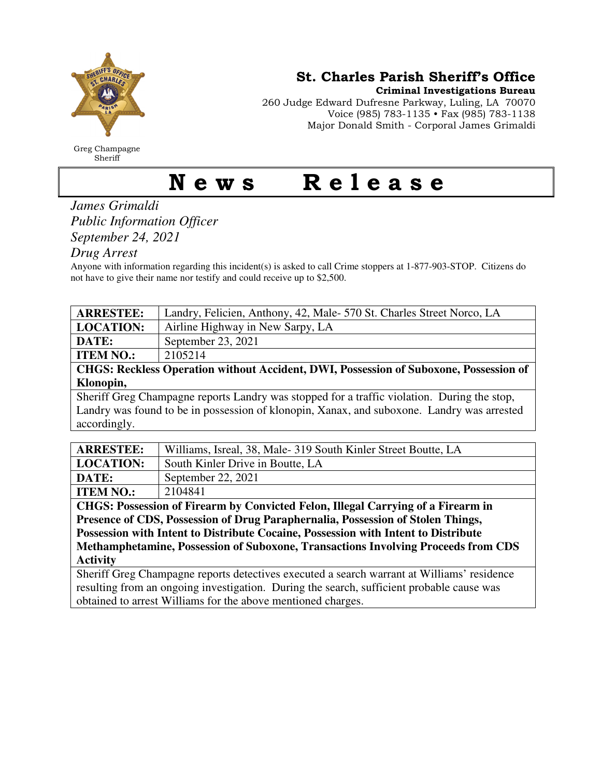

Greg Champagne Sheriff

St. Charles Parish Sheriff's Office

Criminal Investigations Bureau

260 Judge Edward Dufresne Parkway, Luling, LA 70070 Voice (985) 783-1135 • Fax (985) 783-1138 Major Donald Smith - Corporal James Grimaldi

## News Release

*James Grimaldi Public Information Officer September 24, 2021* 

*Drug Arrest* 

Anyone with information regarding this incident(s) is asked to call Crime stoppers at 1-877-903-STOP. Citizens do not have to give their name nor testify and could receive up to \$2,500.

| <b>ARRESTEE:</b>                                 | Landry, Felicien, Anthony, 42, Male- 570 St. Charles Street Norco, LA                                          |
|--------------------------------------------------|----------------------------------------------------------------------------------------------------------------|
| <b>LOCATION:</b>                                 | Airline Highway in New Sarpy, LA                                                                               |
| <b>DATE:</b>                                     | September 23, 2021                                                                                             |
| <b>ITEM NO.:</b>                                 | 2105214                                                                                                        |
| $\sim$ $\sim$ $\sim$ $\sim$ $\sim$ $\sim$ $\sim$ | $\sim$ $\sim$ $\sim$<br>$\mathbf{r}$<br>$\cdots$ $\cdots$ $\cdots$ $\cdots$<br>$\sim$ $\sim$<br>$\blacksquare$ |

**CHGS: Reckless Operation without Accident, DWI, Possession of Suboxone, Possession of Klonopin,** 

Sheriff Greg Champagne reports Landry was stopped for a traffic violation. During the stop, Landry was found to be in possession of klonopin, Xanax, and suboxone. Landry was arrested accordingly.

| <b>ARRESTEE:</b>                                                                 | Williams, Isreal, 38, Male-319 South Kinler Street Boutte, LA |  |
|----------------------------------------------------------------------------------|---------------------------------------------------------------|--|
| LOCATION:                                                                        | South Kinler Drive in Boutte, LA                              |  |
| DATE:                                                                            | September 22, 2021                                            |  |
| <b>ITEM NO.:</b>                                                                 | 2104841                                                       |  |
| CHGS: Possession of Firearm by Convicted Felon, Illegal Carrying of a Firearm in |                                                               |  |
| Dressmes of CDC Decessarion of Duys Downhounglio, Decessarion of Ctolen Things   |                                                               |  |

**Presence of CDS, Possession of Drug Paraphernalia, Possession of Stolen Things, Possession with Intent to Distribute Cocaine, Possession with Intent to Distribute Methamphetamine, Possession of Suboxone, Transactions Involving Proceeds from CDS Activity** 

Sheriff Greg Champagne reports detectives executed a search warrant at Williams' residence resulting from an ongoing investigation. During the search, sufficient probable cause was obtained to arrest Williams for the above mentioned charges.